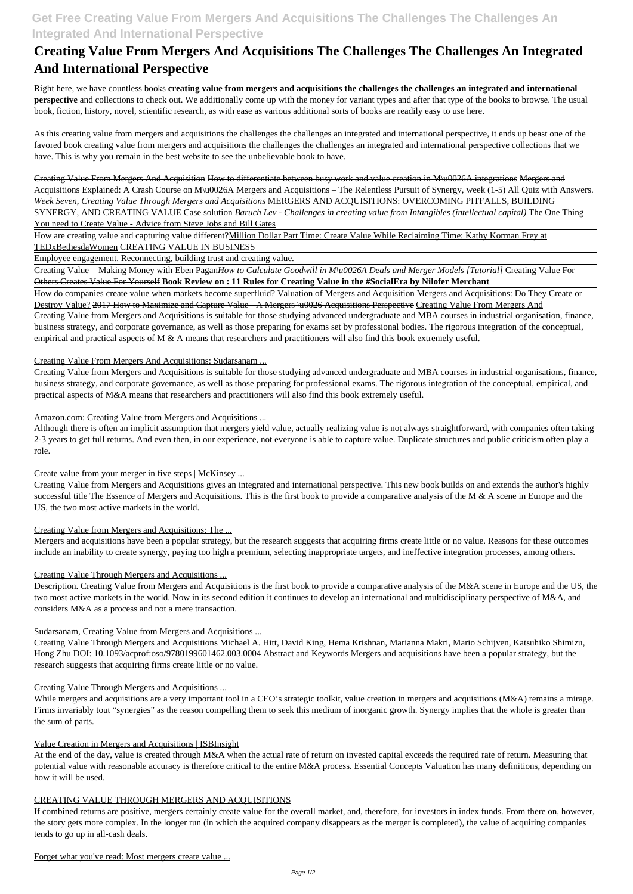## **Get Free Creating Value From Mergers And Acquisitions The Challenges The Challenges An Integrated And International Perspective**

# **Creating Value From Mergers And Acquisitions The Challenges The Challenges An Integrated And International Perspective**

Right here, we have countless books **creating value from mergers and acquisitions the challenges the challenges an integrated and international perspective** and collections to check out. We additionally come up with the money for variant types and after that type of the books to browse. The usual book, fiction, history, novel, scientific research, as with ease as various additional sorts of books are readily easy to use here.

As this creating value from mergers and acquisitions the challenges the challenges an integrated and international perspective, it ends up beast one of the favored book creating value from mergers and acquisitions the challenges the challenges an integrated and international perspective collections that we have. This is why you remain in the best website to see the unbelievable book to have.

How are creating value and capturing value different?Million Dollar Part Time: Create Value While Reclaiming Time: Kathy Korman Frey at TEDxBethesdaWomen CREATING VALUE IN BUSINESS

Creating Value From Mergers And Acquisition How to differentiate between busy work and value creation in M\u0026A integrations Mergers and Acquisitions Explained: A Crash Course on M\u0026A Mergers and Acquisitions – The Relentless Pursuit of Synergy, week (1-5) All Quiz with Answers. *Week Seven, Creating Value Through Mergers and Acquisitions* MERGERS AND ACQUISITIONS: OVERCOMING PITFALLS, BUILDING SYNERGY, AND CREATING VALUE Case solution *Baruch Lev - Challenges in creating value from Intangibles (intellectual capital)* The One Thing You need to Create Value - Advice from Steve Jobs and Bill Gates

How do companies create value when markets become superfluid? Valuation of Mergers and Acquisition Mergers and Acquisitions: Do They Create or Destroy Value? 2017 How to Maximize and Capture Value - A Mergers \u0026 Acquisitions Perspective Creating Value From Mergers And Creating Value from Mergers and Acquisitions is suitable for those studying advanced undergraduate and MBA courses in industrial organisation, finance, business strategy, and corporate governance, as well as those preparing for exams set by professional bodies. The rigorous integration of the conceptual, empirical and practical aspects of M & A means that researchers and practitioners will also find this book extremely useful.

Employee engagement. Reconnecting, building trust and creating value.

Creating Value = Making Money with Eben Pagan*How to Calculate Goodwill in M\u0026A Deals and Merger Models [Tutorial]* Creating Value For Others Creates Value For Yourself **Book Review on : 11 Rules for Creating Value in the #SocialEra by Nilofer Merchant**

While mergers and acquisitions are a very important tool in a CEO's strategic toolkit, value creation in mergers and acquisitions (M&A) remains a mirage. Firms invariably tout "synergies" as the reason compelling them to seek this medium of inorganic growth. Synergy implies that the whole is greater than the sum of parts.

#### Creating Value From Mergers And Acquisitions: Sudarsanam ...

Creating Value from Mergers and Acquisitions is suitable for those studying advanced undergraduate and MBA courses in industrial organisations, finance, business strategy, and corporate governance, as well as those preparing for professional exams. The rigorous integration of the conceptual, empirical, and practical aspects of M&A means that researchers and practitioners will also find this book extremely useful.

## Amazon.com: Creating Value from Mergers and Acquisitions ...

Although there is often an implicit assumption that mergers yield value, actually realizing value is not always straightforward, with companies often taking 2-3 years to get full returns. And even then, in our experience, not everyone is able to capture value. Duplicate structures and public criticism often play a role.

## Create value from your merger in five steps | McKinsey ...

Creating Value from Mergers and Acquisitions gives an integrated and international perspective. This new book builds on and extends the author's highly successful title The Essence of Mergers and Acquisitions. This is the first book to provide a comparative analysis of the M & A scene in Europe and the US, the two most active markets in the world.

## Creating Value from Mergers and Acquisitions: The ...

Mergers and acquisitions have been a popular strategy, but the research suggests that acquiring firms create little or no value. Reasons for these outcomes include an inability to create synergy, paying too high a premium, selecting inappropriate targets, and ineffective integration processes, among others.

## Creating Value Through Mergers and Acquisitions ...

Description. Creating Value from Mergers and Acquisitions is the first book to provide a comparative analysis of the M&A scene in Europe and the US, the two most active markets in the world. Now in its second edition it continues to develop an international and multidisciplinary perspective of M&A, and considers M&A as a process and not a mere transaction.

#### Sudarsanam, Creating Value from Mergers and Acquisitions ...

Creating Value Through Mergers and Acquisitions Michael A. Hitt, David King, Hema Krishnan, Marianna Makri, Mario Schijven, Katsuhiko Shimizu, Hong Zhu DOI: 10.1093/acprof:oso/9780199601462.003.0004 Abstract and Keywords Mergers and acquisitions have been a popular strategy, but the research suggests that acquiring firms create little or no value.

#### Creating Value Through Mergers and Acquisitions ...

#### Value Creation in Mergers and Acquisitions | ISBInsight

At the end of the day, value is created through M&A when the actual rate of return on invested capital exceeds the required rate of return. Measuring that potential value with reasonable accuracy is therefore critical to the entire M&A process. Essential Concepts Valuation has many definitions, depending on how it will be used.

#### CREATING VALUE THROUGH MERGERS AND ACQUISITIONS

If combined returns are positive, mergers certainly create value for the overall market, and, therefore, for investors in index funds. From there on, however, the story gets more complex. In the longer run (in which the acquired company disappears as the merger is completed), the value of acquiring companies tends to go up in all-cash deals.

#### Forget what you've read: Most mergers create value ...